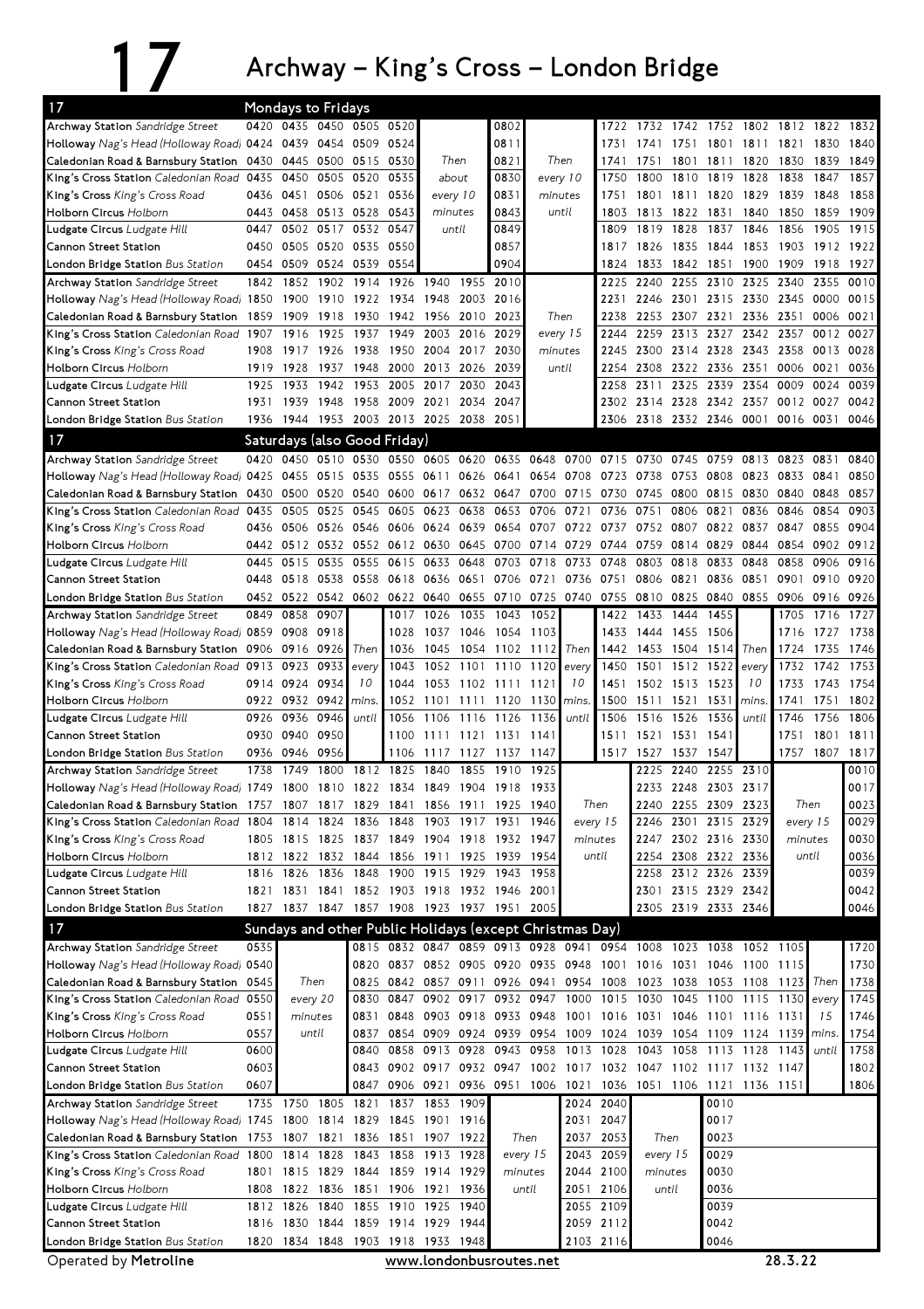## 17 Archway – King's Cross – London Bridge

| 17                                                                                   |      | Mondays to Fridays                 |                             |       |                |                                  |      |                                                                                                   |                            |                  |                |                     |           |                                            |                                          |                  |                |              |
|--------------------------------------------------------------------------------------|------|------------------------------------|-----------------------------|-------|----------------|----------------------------------|------|---------------------------------------------------------------------------------------------------|----------------------------|------------------|----------------|---------------------|-----------|--------------------------------------------|------------------------------------------|------------------|----------------|--------------|
| <b>Archway Station</b> Sandridge Street                                              |      | 0420 0435 0450 0505 0520           |                             |       |                |                                  | 0802 |                                                                                                   |                            |                  |                |                     |           | 1722 1732 1742 1752 1802 1812 1822         |                                          |                  | 1832           |              |
| Holloway Nag's Head (Holloway Road) 0424 0439 0454 0509                              |      |                                    |                             |       | 0524           |                                  |      | 0811                                                                                              |                            |                  | 1731           | 1741                | 1751      |                                            | 1801 1811 1821                           |                  | 1830           | 1840         |
| Caledonian Road & Barnsbury Station 0430 0445 0500 0515                              |      |                                    |                             |       | 0530           | Then                             |      | 0821                                                                                              | Then                       |                  | 1741           | 1751                | 1801      | 1811                                       | 1820                                     | 1830             | 1839           | 1849         |
| King's Cross Station Caledonian Road                                                 | 0435 | 0450                               | 0505 0520                   |       | 0535           | about                            |      | 0830                                                                                              | every 10                   |                  | 1750           | 1800                | 1810      |                                            | 1819 1828                                | 1838             | 1847           | 1857         |
| King's Cross King's Cross Road                                                       | 0436 | 0451                               | 0506 0521                   |       | 0536           | every 10                         |      | 0831                                                                                              | minutes                    |                  | 1751           | 1801                | 1811      | 1820                                       | 1829                                     | 1839             | 1848           | 1858         |
| <b>Holborn Circus Holborn</b>                                                        |      | 0443 0458 0513 0528                |                             |       | 0543           | minutes                          |      | 0843                                                                                              | until                      |                  | 1803           | 1813                | 1822      | 1831                                       | 1840                                     | 1850             | 1859           | 1909         |
| L <b>udgate Circus</b> Ludgate Hill                                                  | 0447 |                                    | 0502 0517 0532              |       | 0547           | until                            |      | 0849                                                                                              |                            |                  | 1809           | 1819                | 1828      | 1837                                       | 1846                                     | 1856             | 1905           | 1915         |
| Cannon Street Station                                                                | 0450 | 0505                               | 0520                        | 0535  | 0550           |                                  |      | 0857                                                                                              |                            |                  | 1817           | 1826                | 1835      | 1844                                       | 1853                                     | 1903             | 1912           | 1922         |
| London Bridge Station Bus Station                                                    | 0454 | 0509                               | 0524 0539                   |       | 0554           |                                  |      | 0904                                                                                              |                            |                  | 1824           | 1833                | 1842      | 1851                                       | 1900                                     | 1909             | 1918           | 1927         |
| <b>Archway Station</b> Sandridge Street                                              | 1842 | 1852                               | 1902                        | 1914  | 1926           | 1940                             | 1955 | 2010                                                                                              |                            |                  | 2225           | 2240                | 2255      | 2310                                       | 2325                                     | 2340             | 2355           | 0010         |
| Holloway Nag's Head (Holloway Road) 1850                                             |      | 1900                               | 1910                        | 1922  |                | 1934 1948                        | 2003 | 2016                                                                                              |                            |                  | 2231           | 2246                | 2301      | 2315                                       | 2330 2345                                |                  | 0000           | 0015         |
| Caledonian Road & Barnsbury Station                                                  | 1859 | 1909                               | 1918                        | 1930  | 1942           | 1956                             | 2010 | 2023                                                                                              | Then                       |                  | 2238           | 2253                | 2307      | 2321                                       | 2336 2351                                |                  | 0006           | 0021         |
| King's Cross Station Caledonian Road                                                 | 1907 | 1916                               | 1925                        | 1937  | 1949           | 2003                             | 2016 | 2029                                                                                              | every 15                   |                  | 2244           | 2259                | 2313      | 2327                                       | 2342                                     | 2357             | 0012           | 0027         |
| King's Cross King's Cross Road                                                       | 1908 | 1917                               | 1926                        | 1938  | 1950           | 2004                             | 2017 | 2030                                                                                              | minutes                    |                  | 2245           | 2300                | 2314      | 2328                                       | 2343 2358                                |                  | 0013           | 0028         |
| <b>Holborn Circus Holborn</b>                                                        | 1919 | 1928                               | 1937                        | 1948  | 2000           | 2013                             | 2026 | 2039                                                                                              | until                      |                  | 2254           |                     | 2308 2322 | 2336                                       | 2351                                     | 0006             | 0021           | 0036         |
| Ludgate Circus Ludgate Hill                                                          | 1925 | 1933                               | 1942                        | 1953  | 2005           | 2017                             | 2030 | 2043                                                                                              |                            |                  | 2258           | 2311                | 2325      | 2339                                       | 2354                                     | 0009             | 0024           | 0039         |
| <b>Cannon Street Station</b>                                                         | 1931 | 1939                               | 1948                        | 1958  | 2009           | 2021                             | 2034 | 2047                                                                                              |                            |                  | 2302           | 2314                | 2328      | 2342 2357                                  |                                          | 0012 0027        |                | 0042         |
| London Bridge Station Bus Station                                                    | 1936 | 1944                               | 1953                        |       | 2003 2013 2025 |                                  | 2038 | 2051                                                                                              |                            |                  |                | 2306 2318           |           | 2332 2346 0001                             |                                          | 0016 0031        |                | 0046         |
| 17                                                                                   |      | Saturdays (also Good Friday)       |                             |       |                |                                  |      |                                                                                                   |                            |                  |                |                     |           |                                            |                                          |                  |                |              |
| <b>Archway Station</b> Sandridge Street                                              |      |                                    |                             |       |                |                                  |      | 0420 0450 0510 0530 0550 0605 0620 0635 0648 0700                                                 |                            |                  | 0715 0730      |                     | 0745      | 0759                                       | 0813 0823                                |                  | 0831           | 0840         |
| Holloway Nag's Head (Holloway Road) 0425                                             |      | 0455                               | 0515 0535                   |       |                | 0555 0611                        | 0626 | 0641 0654 0708                                                                                    |                            |                  | 0723           | 0738                | 0753      | 0808                                       | 0823                                     | 0833             | 0841           | 0850         |
| Caledonian Road & Barnsbury Station                                                  | 0430 | 0500                               | 0520                        | 0540  | 0600           | 0617                             |      | 0632 0647 0700                                                                                    |                            | 0715             | 0730           | 0745                | 0800      | 0815                                       | 0830                                     | 0840             | 0848           | 0857         |
| King's Cross Station Caledonian Road                                                 | 0435 | 0505                               | 0525                        | 0545  | 0605           | 0623                             | 0638 | 0653                                                                                              | 0706                       | 0721             | 0736           | 0751                | 0806      | 0821                                       | 0836                                     | 0846             | 0854           | 0903         |
| King's Cross King's Cross Road                                                       | 0436 | 0506                               | 0526                        | 0546  | 0606           | 0624                             | 0639 | 0654 0707                                                                                         |                            | 0722             | 0737           | 0752                | 0807      | 0822                                       | 0837                                     | 0847             | 0855           | 0904         |
| Holborn Circus Holborn                                                               | 0442 | 0512                               | 0532                        | 0552  | 0612           | 0630                             | 0645 | 0700                                                                                              | 0714                       | 0729             | 0744           | 0759                | 0814      | 0829                                       | 0844                                     | 0854             | 0902           | 0912         |
| Ludgate Circus Ludgate Hill                                                          | 0445 | 0515                               | 0535                        | 0555  | 0615           | 0633                             | 0648 | 0703                                                                                              | 0718                       | 0733             | 0748           | 0803                | 0818      | 0833                                       | 0848                                     | 0858             | 0906           | 0916         |
| <b>Cannon Street Station</b>                                                         | 0448 | 0518                               | 0538                        | 0558  | 0618           | 0636                             | 0651 | 0706                                                                                              | 0721                       | 0736             | 0751           | 0806                | 0821      | 0836                                       | 0851                                     | 0901             | 0910           | 0920         |
| London Bridge Station Bus Station                                                    |      | 0452 0522                          | 0542 0602                   |       |                | 0622 0640                        | 0655 | 0710 0725                                                                                         |                            | 0740             | 0755           | 0810                | 0825      | 0840                                       | 0855                                     | 0906             | 0916           | 0926         |
| Archway Station Sandridge Street                                                     | 0849 | 0858                               | 0907                        |       | 1017           | 1026                             | 1035 | 1043                                                                                              | 1052                       |                  | 1422           | 1433                | 1444      | 1455                                       |                                          | 1705             | 1716           | 1727         |
| Holloway Nag's Head (Holloway Road) 0859 0908 0918                                   |      |                                    |                             |       | 1028           | 1037                             | 1046 | 1054 1103                                                                                         |                            |                  | 1433           | 1444                | 1455      | 1506                                       |                                          | 1716             | 1727           | 1738         |
| Caledonian Road & Barnsbury Station 0906                                             |      | 0916 0926                          |                             | Then  | 1036           | 1045                             | 1054 |                                                                                                   | 1102 1112                  | Then             | 1442           | 1453                | 1504      | 1514                                       | Then                                     | 1724             | 1735           | 1746         |
| King's Cross Station Caledonian Road 0913                                            |      | 0923                               | 0933                        | every | 1043           | 1052                             | 1101 | 1110                                                                                              | 1120                       | every            | 1450           | 1501                | 1512      | 1522                                       | every                                    | 1732             | 1742           | 1753         |
| King's Cross King's Cross Road                                                       |      | 0914 0924 0934                     |                             | 10    | 1044           | 1053                             | 1102 | 1111                                                                                              | 1121                       | 10               | 1451           | 1502                | 1513      | 1523                                       | 10                                       | 1733             | 1743           | 1754         |
| Holborn Circus Holborn                                                               | 0922 | 0932 0942                          |                             | mins. | 1052           | 1101                             | 1111 | 1120                                                                                              | 1130                       | mins.            | 1500           | 1511 1521           |           | 1531                                       | mins.                                    | 1741             | 1751           | 1802         |
| <b>Ludgate Circus</b> Ludgate Hill                                                   | 0926 | 0936                               | 0946                        | until | 1056           | 1106                             | 1116 | 1126                                                                                              | 1136                       | until            | 1506           | 1516                | 1526      | 1536                                       | until                                    | 1746             | 1756           | 1806         |
| Cannon Street Station                                                                |      | 0930 0940 0950                     |                             |       |                |                                  |      | 1100 1111 1121 1131 1141                                                                          |                            |                  | 1511           | 1521 1531           |           | 1541                                       |                                          | 1751             | 1801           | 1811         |
| London Bridge Station Bus Station                                                    | 0936 | 0946                               | 0956                        |       |                |                                  |      | 1106 1117 1127 1137 1147                                                                          |                            |                  |                | 1517 1527 1537      |           | 1547                                       |                                          |                  | 1757 1807 1817 |              |
| Archway Station Sandridge Street                                                     | 1738 | 1749                               | 1800                        | 1812  | 1825           | 1840                             | 1855 | 1910                                                                                              | 1925                       |                  |                |                     | 2225 2240 | 2255                                       | 2310                                     |                  |                | 0010         |
| Holloway Nag's Head (Holloway Road) 1749                                             |      | 1800                               | 1810                        | 1822  |                | 1834 1849                        | 1904 | 1918                                                                                              | 1933                       |                  |                |                     | 2233 2248 |                                            | 2303 2317                                |                  |                | 0017         |
| Caledonian Road & Barnsbury Station 1757 1807 1817 1829 1841 1856 1911 1925 1940     |      |                                    |                             |       |                |                                  |      |                                                                                                   | Then                       |                  |                |                     |           | 2240 2255 2309 2323                        |                                          | Then<br>every 15 |                | 0023         |
| King's Cross Station Caledonian Road 1804<br>King's Cross King's Cross Road          |      | 1814 1824                          |                             | 1836  | 1848           | 1903                             |      | 1805 1815 1825 1837 1849 1904 1918 1932 1947                                                      | 1917 1931 1946<br>every 15 |                  |                |                     |           | 2246 2301 2315 2329<br>2247 2302 2316 2330 |                                          | minutes          |                | 0029<br>0030 |
| <b>Holborn Circus Holborn</b>                                                        |      |                                    |                             |       |                |                                  |      | 1812 1822 1832 1844 1856 1911 1925 1939 1954                                                      |                            | minutes<br>until |                |                     |           | 2254 2308 2322 2336                        |                                          | until            |                | 0036         |
| Ludgate Circus Ludgate Hill                                                          |      | 1816 1826                          | 1836                        | 1848  |                | 1900 1915 1929                   |      | 1943 1958                                                                                         |                            |                  |                |                     |           | 2258 2312 2326 2339                        |                                          |                  |                | 0039         |
| Cannon Street Station                                                                | 1821 | 1831 1841                          |                             |       |                |                                  |      | 1852 1903 1918 1932 1946 2001                                                                     |                            |                  |                |                     |           | 2301 2315 2329 2342                        |                                          |                  |                | 0042         |
| London Bridge Station Bus Station                                                    | 1827 |                                    |                             |       |                |                                  |      | 1837 1847 1857 1908 1923 1937 1951 2005                                                           |                            |                  |                |                     |           | 2305 2319 2333 2346                        |                                          |                  |                | 0046         |
| 17                                                                                   |      |                                    |                             |       |                |                                  |      |                                                                                                   |                            |                  |                |                     |           |                                            |                                          |                  |                |              |
|                                                                                      |      |                                    |                             |       |                |                                  |      | Sundays and other Public Holidays (except Christmas Day)                                          |                            |                  |                |                     |           |                                            |                                          |                  |                |              |
| Archway Station Sandridge Street                                                     | 0535 |                                    |                             | 0820  |                |                                  |      | 0815 0832 0847 0859 0913 0928 0941 0954 1008 1023 1038 1052 1105<br>0837 0852 0905 0920 0935 0948 |                            |                  |                |                     |           |                                            |                                          |                  |                | 1720<br>1730 |
| Holloway Nag's Head (Holloway Road) 0540<br>Caledonian Road & Barnsbury Station 0545 |      | Then                               |                             | 0825  |                |                                  |      | 0842 0857 0911 0926 0941 0954 1008 1023 1038 1053 1108 1123 Then                                  |                            |                  | 1001           |                     |           |                                            | 1016 1031 1046 1100 1115                 |                  |                | 1738         |
| King's Cross Station Caledonian Road 0550                                            |      | every 20                           |                             | 0830  |                |                                  |      | 0847 0902 0917 0932 0947                                                                          |                            |                  |                |                     |           |                                            | 1000 1015 1030 1045 1100 1115 1130 every |                  |                | 1745         |
| King's Cross King's Cross Road                                                       | 0551 | minutes                            |                             | 0831  |                |                                  |      | 0848 0903 0918 0933 0948                                                                          |                            |                  |                |                     |           |                                            | 1001 1016 1031 1046 1101 1116 1131       |                  | 15             | 1746         |
| Holborn Circus Holborn                                                               | 0557 | until                              |                             | 0837  |                |                                  |      | 0854 0909 0924 0939 0954 1009 1024 1039 1054 1109 1124 1139 mins                                  |                            |                  |                |                     |           |                                            |                                          |                  |                | 1754         |
| Ludgate Circus Ludgate Hill                                                          | 0600 |                                    |                             | 0840  |                | 0858 0913 0928                   |      | 0943 0958                                                                                         |                            |                  | 1013 1028 1043 |                     | 1058      |                                            | 1113 1128 1143                           |                  | until          | 1758         |
| Cannon Street Station                                                                | 0603 |                                    |                             | 0843  |                |                                  |      | 0902 0917 0932 0947 1002 1017 1032 1047 1102 1117 1132 1147                                       |                            |                  |                |                     |           |                                            |                                          |                  |                | 1802         |
| London Bridge Station Bus Station                                                    | 0607 |                                    |                             | 0847  |                | 0906 0921                        |      | 0936 0951 1006 1021                                                                               |                            |                  |                | 1036 1051 1106 1121 |           |                                            | 1136 1151                                |                  |                | 1806         |
| Archway Station Sandridge Street                                                     |      | 1735 1750                          |                             |       |                | 1837 1853 1909                   |      |                                                                                                   |                            |                  | 2024 2040      |                     |           | 0010                                       |                                          |                  |                |              |
| Holloway Nag's Head (Holloway Road) 1745                                             |      |                                    | 1805 1821<br>1800 1814 1829 |       |                |                                  |      |                                                                                                   |                            |                  | 2031 2047      |                     |           | 0017                                       |                                          |                  |                |              |
| Caledonian Road & Barnsbury Station                                                  | 1753 | 1807                               | 1821                        | 1836  |                | 1845 1901 1916<br>1851 1907 1922 |      | Then                                                                                              |                            | 2037             | 2053<br>Then   |                     | 0023      |                                            |                                          |                  |                |              |
| King's Cross Station Caledonian Road                                                 | 1800 | 1814                               | 1828                        | 1843  |                | 1858 1913<br>1928                |      |                                                                                                   | every 15                   |                  | 2043 2059      | every 15            |           | 0029                                       |                                          |                  |                |              |
| King's Cross King's Cross Road                                                       |      | 1801 1815 1829 1844                |                             |       |                | 1859 1914 1929                   |      | minutes                                                                                           |                            |                  | 2044 2100      | minutes<br>until    |           | 0030                                       |                                          |                  |                |              |
| Holborn Circus Holborn                                                               | 1808 | 1822                               | 1836                        | 1851  |                | 1906 1921 1936                   |      |                                                                                                   | until                      |                  | 2051 2106      |                     |           | 0036                                       |                                          |                  |                |              |
| Ludgate Circus Ludgate Hill                                                          |      | 1812 1826                          | 1840                        | 1855  |                | 1910 1925                        | 1940 |                                                                                                   |                            |                  | 2055 2109      |                     |           | 0039                                       |                                          |                  |                |              |
| Cannon Street Station                                                                |      | 1816 1830                          | 1844                        |       |                | 1859 1914 1929 1944              |      |                                                                                                   |                            |                  | 2059 2112      |                     |           | 0042                                       |                                          |                  |                |              |
| London Bridge Station Bus Station                                                    |      | 1820 1834 1848 1903 1918 1933 1948 |                             |       |                |                                  |      |                                                                                                   |                            |                  | 2103 2116      |                     |           | 0046                                       |                                          |                  |                |              |